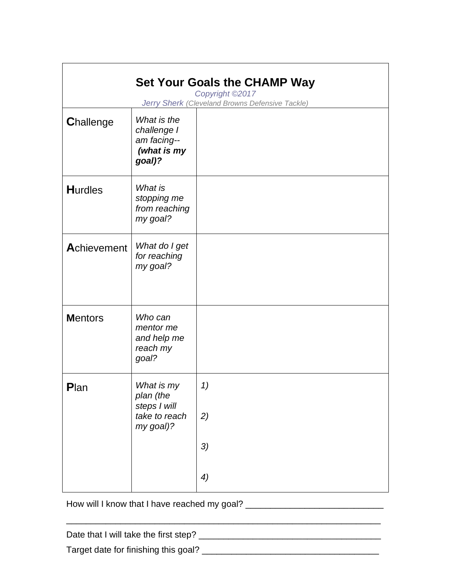| <b>Set Your Goals the CHAMP Way</b><br>Copyright ©2017<br>Jerry Sherk (Cleveland Browns Defensive Tackle) |                                                                       |    |
|-----------------------------------------------------------------------------------------------------------|-----------------------------------------------------------------------|----|
| <b>Challenge</b>                                                                                          | What is the<br>challenge I<br>am facing--<br>(what is my<br>goal)?    |    |
| <b>Hurdles</b>                                                                                            | What is<br>stopping me<br>from reaching<br>my goal?                   |    |
| Achievement                                                                                               | What do I get<br>for reaching<br>my goal?                             |    |
| <b>Mentors</b>                                                                                            | Who can<br>mentor me<br>and help me<br>reach my<br>goal?              |    |
| Plan                                                                                                      | What is my<br>plan (the<br>steps I will<br>take to reach<br>my goal)? | 1) |
|                                                                                                           |                                                                       | 2) |
|                                                                                                           |                                                                       | 3) |
|                                                                                                           |                                                                       | 4) |

How will I know that I have reached my goal? \_\_\_\_\_\_\_\_\_\_\_\_\_\_\_\_\_\_\_\_\_\_\_\_\_\_\_\_\_\_\_\_\_\_\_

Date that I will take the first step? \_\_\_\_\_\_\_\_\_\_\_\_\_\_\_\_\_\_\_\_\_\_\_\_\_\_\_\_\_\_\_\_\_\_\_\_\_ Target date for finishing this goal? \_\_\_\_\_\_\_\_\_\_\_\_\_\_\_\_\_\_\_\_\_\_\_\_\_\_\_\_\_\_\_\_\_\_\_\_